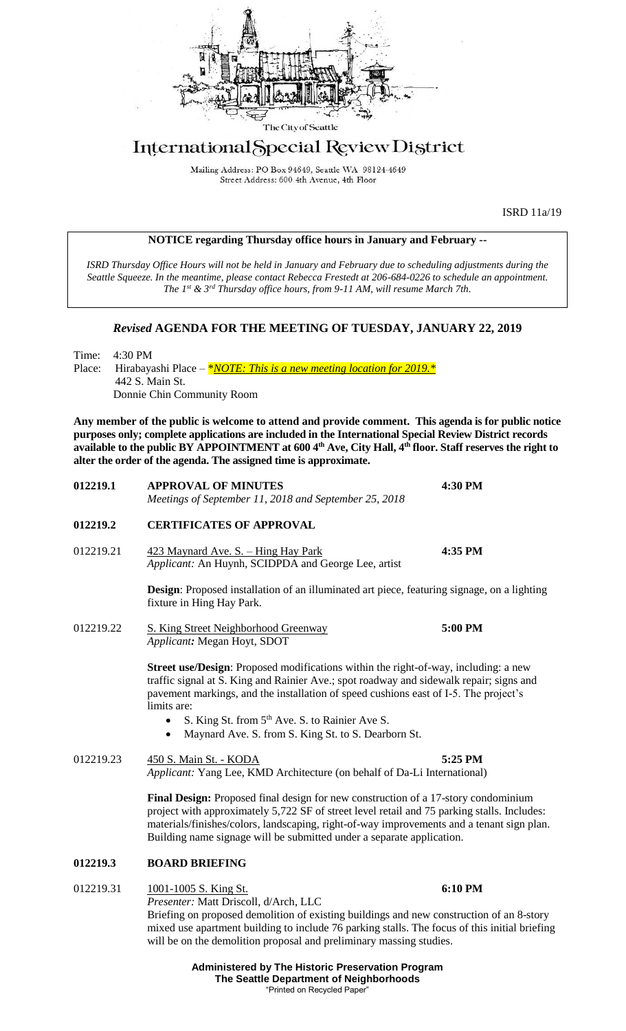

# International Special Review District

Mailing Address: PO Box 94649, Seattle WA 98124-4649 Street Address: 600 4th Avenue, 4th Floor

**NOTICE regarding Thursday office hours in January and February --**

ISRD 11a/19

## *ISRD Thursday Office Hours will not be held in January and February due to scheduling adjustments during the Seattle Squeeze. In the meantime, please contact Rebecca Frestedt at 206-684-0226 to schedule an appointment. The 1 st & 3rd Thursday office hours, from 9-11 AM, will resume March 7th. Revised* **AGENDA FOR THE MEETING OF TUESDAY, JANUARY 22, 2019** Time: 4:30 PM Place: Hirabayashi Place – *\*NOTE: This is a new meeting location for 2019.* \* 442 S. Main St. Donnie Chin Community Room **Any member of the public is welcome to attend and provide comment. This agenda is for public notice purposes only; complete applications are included in the International Special Review District records available to the public BY APPOINTMENT at 600 4th Ave, City Hall, 4th floor. Staff reserves the right to alter the order of the agenda. The assigned time is approximate. 012219.1 APPROVAL OF MINUTES 4:30 PM** *Meetings of September 11, 2018 and September 25, 2018* **012219.2 CERTIFICATES OF APPROVAL** 012219.21 423 Maynard Ave. S. – Hing Hay Park **4:35 PM** *Applicant:* An Huynh, SCIDPDA and George Lee, artist **Design**: Proposed installation of an illuminated art piece, featuring signage, on a lighting fixture in Hing Hay Park. 012219.22 S. King Street Neighborhood Greenway **5:00 PM** *Applicant:* Megan Hoyt, SDOT **Street use/Design**: Proposed modifications within the right-of-way, including: a new traffic signal at S. King and Rainier Ave.; spot roadway and sidewalk repair; signs and pavement markings, and the installation of speed cushions east of I-5. The project's limits are: S. King St. from 5<sup>th</sup> Ave. S. to Rainier Ave S. • Maynard Ave. S. from S. King St. to S. Dearborn St. 012219.23 450 S. Main St. - KODA **5:25 PM** *Applicant:* Yang Lee, KMD Architecture (on behalf of Da-Li International) **Final Design:** Proposed final design for new construction of a 17-story condominium project with approximately 5,722 SF of street level retail and 75 parking stalls. Includes: materials/finishes/colors, landscaping, right-of-way improvements and a tenant sign plan. Building name signage will be submitted under a separate application. **012219.3 BOARD BRIEFING** 012219.31 1001-1005 S. King St. **6:10 PM** *Presenter:* Matt Driscoll, d/Arch, LLC Briefing on proposed demolition of existing buildings and new construction of an 8-story mixed use apartment building to include 76 parking stalls. The focus of this initial briefing

**Administered by The Historic Preservation Program The Seattle Department of Neighborhoods** "Printed on Recycled Paper"

will be on the demolition proposal and preliminary massing studies.